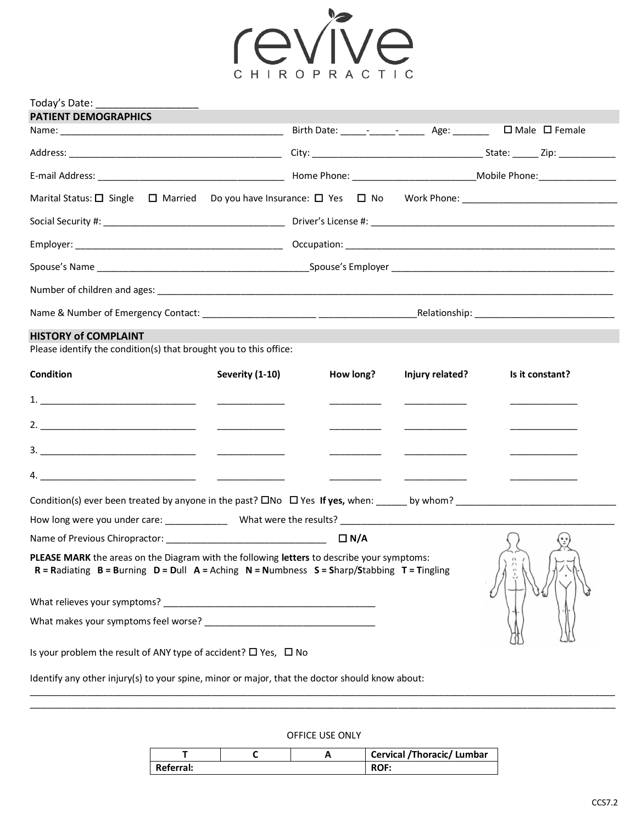

| Today's Date:<br><b>PATIENT DEMOGRAPHICS</b>                                                                                                                                                           |                                                                   |                                                                                                                                                                                                                                                                                                                                                                                                                          |                                                  |
|--------------------------------------------------------------------------------------------------------------------------------------------------------------------------------------------------------|-------------------------------------------------------------------|--------------------------------------------------------------------------------------------------------------------------------------------------------------------------------------------------------------------------------------------------------------------------------------------------------------------------------------------------------------------------------------------------------------------------|--------------------------------------------------|
|                                                                                                                                                                                                        | Birth Date: _____- ________ _______ Age: ________ □ Male □ Female |                                                                                                                                                                                                                                                                                                                                                                                                                          |                                                  |
|                                                                                                                                                                                                        |                                                                   |                                                                                                                                                                                                                                                                                                                                                                                                                          |                                                  |
|                                                                                                                                                                                                        |                                                                   |                                                                                                                                                                                                                                                                                                                                                                                                                          |                                                  |
|                                                                                                                                                                                                        |                                                                   |                                                                                                                                                                                                                                                                                                                                                                                                                          |                                                  |
|                                                                                                                                                                                                        |                                                                   |                                                                                                                                                                                                                                                                                                                                                                                                                          |                                                  |
|                                                                                                                                                                                                        |                                                                   |                                                                                                                                                                                                                                                                                                                                                                                                                          |                                                  |
|                                                                                                                                                                                                        |                                                                   |                                                                                                                                                                                                                                                                                                                                                                                                                          |                                                  |
|                                                                                                                                                                                                        |                                                                   |                                                                                                                                                                                                                                                                                                                                                                                                                          |                                                  |
|                                                                                                                                                                                                        |                                                                   |                                                                                                                                                                                                                                                                                                                                                                                                                          |                                                  |
| <b>HISTORY of COMPLAINT</b><br>Please identify the condition(s) that brought you to this office:                                                                                                       |                                                                   |                                                                                                                                                                                                                                                                                                                                                                                                                          |                                                  |
| <b>Condition</b><br>Severity (1-10)                                                                                                                                                                    | How long?                                                         | Injury related?                                                                                                                                                                                                                                                                                                                                                                                                          | Is it constant?                                  |
|                                                                                                                                                                                                        |                                                                   |                                                                                                                                                                                                                                                                                                                                                                                                                          |                                                  |
|                                                                                                                                                                                                        |                                                                   | $\begin{tabular}{ccccccccc} \multicolumn{2}{c }{\textbf{1} & \textbf{2} & \textbf{3} & \textbf{4} & \textbf{5} & \textbf{5} & \textbf{6} & \textbf{7} & \textbf{8} & \textbf{9} & \textbf{10} & \textbf{10} & \textbf{10} & \textbf{10} & \textbf{10} & \textbf{10} & \textbf{10} & \textbf{10} & \textbf{10} & \textbf{10} & \textbf{10} & \textbf{10} & \textbf{10} & \textbf{10} & \textbf{10} & \textbf{10} & \text$ | <u>experience</u> and the control of the control |
|                                                                                                                                                                                                        |                                                                   |                                                                                                                                                                                                                                                                                                                                                                                                                          |                                                  |
|                                                                                                                                                                                                        | $\overline{\phantom{iiiiiiiiiiiiiii}}$                            |                                                                                                                                                                                                                                                                                                                                                                                                                          |                                                  |
|                                                                                                                                                                                                        |                                                                   |                                                                                                                                                                                                                                                                                                                                                                                                                          |                                                  |
|                                                                                                                                                                                                        |                                                                   |                                                                                                                                                                                                                                                                                                                                                                                                                          |                                                  |
|                                                                                                                                                                                                        |                                                                   |                                                                                                                                                                                                                                                                                                                                                                                                                          |                                                  |
| PLEASE MARK the areas on the Diagram with the following letters to describe your symptoms:<br>$R =$ Radiating $B =$ Burning $D =$ Dull $A =$ Aching $N =$ Numbness $S =$ Sharp/Stabbing $T =$ Tingling |                                                                   |                                                                                                                                                                                                                                                                                                                                                                                                                          | $\sqrt{W}$                                       |
|                                                                                                                                                                                                        |                                                                   |                                                                                                                                                                                                                                                                                                                                                                                                                          |                                                  |
|                                                                                                                                                                                                        |                                                                   |                                                                                                                                                                                                                                                                                                                                                                                                                          |                                                  |
| Is your problem the result of ANY type of accident? $\Box$ Yes, $\Box$ No                                                                                                                              |                                                                   |                                                                                                                                                                                                                                                                                                                                                                                                                          |                                                  |
| Identify any other injury(s) to your spine, minor or major, that the doctor should know about:                                                                                                         |                                                                   |                                                                                                                                                                                                                                                                                                                                                                                                                          |                                                  |

OFFICE USE ONLY

\_\_\_\_\_\_\_\_\_\_\_\_\_\_\_\_\_\_\_\_\_\_\_\_\_\_\_\_\_\_\_\_\_\_\_\_\_\_\_\_\_\_\_\_\_\_\_\_\_\_\_\_\_\_\_\_\_\_\_\_\_\_\_\_\_\_\_\_\_\_\_\_\_\_\_\_\_\_\_\_\_\_\_\_\_\_\_\_\_\_\_\_\_\_\_\_\_\_\_\_\_\_\_\_\_\_\_\_\_\_\_\_\_

|           |  | Cervical /Thoracic/ Lumbar |
|-----------|--|----------------------------|
| Referral: |  | <b>ROF:</b>                |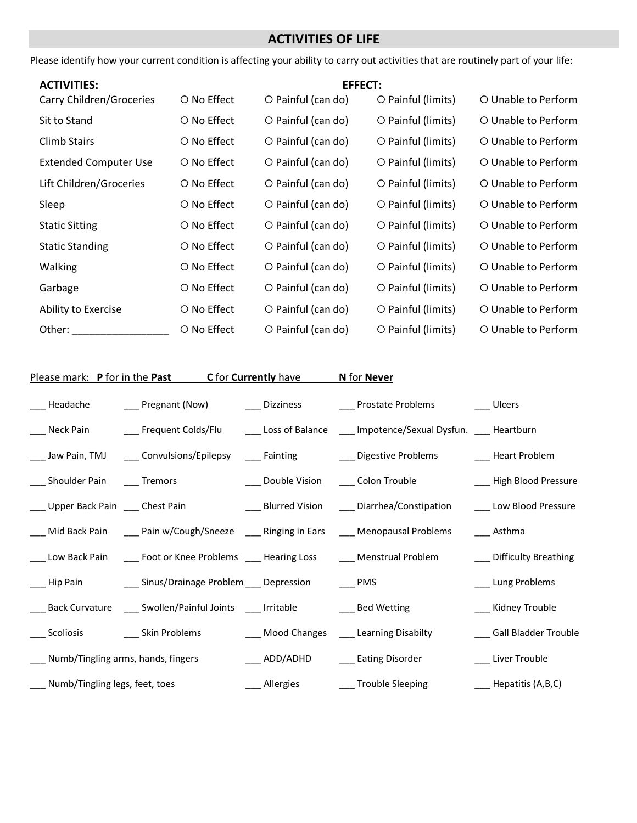# **ACTIVITIES OF LIFE**

Please identify how your current condition is affecting your ability to carry out activities that are routinely part of your life:

| <b>ACTIVITIES:</b>              | <b>EFFECT:</b> |                          |                    |                     |
|---------------------------------|----------------|--------------------------|--------------------|---------------------|
| <b>Carry Children/Groceries</b> | O No Effect    | O Painful (can do)       | O Painful (limits) | O Unable to Perform |
| Sit to Stand                    | O No Effect    | O Painful (can do)       | O Painful (limits) | O Unable to Perform |
| <b>Climb Stairs</b>             | O No Effect    | O Painful (can do)       | O Painful (limits) | O Unable to Perform |
| <b>Extended Computer Use</b>    | O No Effect    | $\circ$ Painful (can do) | O Painful (limits) | O Unable to Perform |
| Lift Children/Groceries         | O No Effect    | $\circ$ Painful (can do) | O Painful (limits) | O Unable to Perform |
| Sleep                           | O No Effect    | O Painful (can do)       | O Painful (limits) | O Unable to Perform |
| <b>Static Sitting</b>           | O No Effect    | $\circ$ Painful (can do) | O Painful (limits) | O Unable to Perform |
| <b>Static Standing</b>          | O No Effect    | $\circ$ Painful (can do) | O Painful (limits) | O Unable to Perform |
| <b>Walking</b>                  | O No Effect    | $\circ$ Painful (can do) | O Painful (limits) | O Unable to Perform |
| Garbage                         | O No Effect    | $\circ$ Painful (can do) | O Painful (limits) | O Unable to Perform |
| Ability to Exercise             | O No Effect    | O Painful (can do)       | O Painful (limits) | O Unable to Perform |
| Other:                          | O No Effect    | O Painful (can do)       | O Painful (limits) | O Unable to Perform |

|                                           | Please mark: P for in the Past C for Currently have N for Never                            |                                                                                                                         |                                                    |
|-------------------------------------------|--------------------------------------------------------------------------------------------|-------------------------------------------------------------------------------------------------------------------------|----------------------------------------------------|
|                                           |                                                                                            | ___ Headache     ___ Pregnant (Now)     ___ Dizziness     ___ Prostate Problems      ___ Ulcers                         |                                                    |
|                                           |                                                                                            | ___ Neck Pain ________ Frequent Colds/Flu ________ Loss of Balance _____ Impotence/Sexual Dysfun. _____ Heartburn       |                                                    |
|                                           |                                                                                            | _____ Jaw Pain, TMJ ______ Convulsions/Epilepsy ______ Fainting ___________ Digestive Problems __________ Heart Problem |                                                    |
| ___ Shoulder Pain ____ Tremors            |                                                                                            | ____ Double Vision _____ Colon Trouble                                                                                  | ___ High Blood Pressure                            |
|                                           |                                                                                            | ___ Upper Back Pain ___ Chest Pain ____ ___________________Blurred Vision ______ Diarrhea/Constipation                  | Low Blood Pressure                                 |
|                                           |                                                                                            | Mid Back Pain ______ Pain w/Cough/Sneeze ______ Ringing in Ears _____ Menopausal Problems                               | ___ Asthma                                         |
|                                           |                                                                                            | ____ Low Back Pain ______ Foot or Knee Problems _____ Hearing Loss _______ Menstrual Problem                            | ___ Difficulty Breathing                           |
|                                           | ___ Hip Pain ____ ___ Sinus/Drainage Problem ___ Depression ___ __ PMS                     |                                                                                                                         | __ Lung Problems                                   |
|                                           | ____ Back Curvature ____ Swollen/Painful Joints ____ Irritable _______________ Bed Wetting |                                                                                                                         | ___ Kidney Trouble                                 |
| ____ Scoliosis ____________ Skin Problems |                                                                                            | ___ Mood Changes ____ Learning Disabilty                                                                                | ___ Gall Bladder Trouble                           |
| ___ Numb/Tingling arms, hands, fingers    |                                                                                            | ___ ADD/ADHD ____ Eating Disorder                                                                                       | ___ Liver Trouble                                  |
| ___ Numb/Tingling legs, feet, toes        |                                                                                            | ___ Allergies ________ Trouble Sleeping                                                                                 | $\frac{1}{\sqrt{1-\frac{1}{2}}}$ Hepatitis (A,B,C) |
|                                           |                                                                                            |                                                                                                                         |                                                    |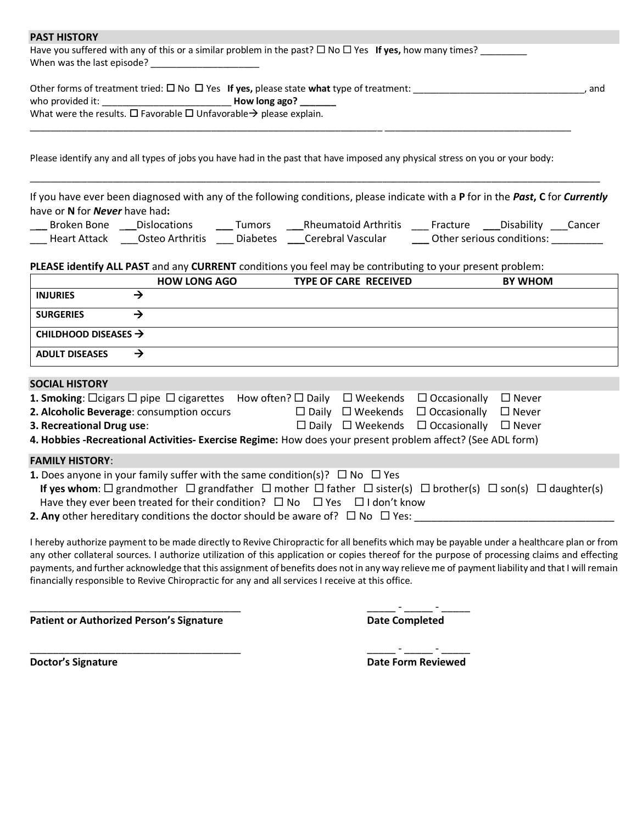#### **PAST HISTORY**

| Have you suffered with any of this or a similar problem in the past? $\Box$ No $\Box$ Yes If yes, how many times? |  |
|-------------------------------------------------------------------------------------------------------------------|--|
| When was the last episode?                                                                                        |  |

| Other forms of treatment tried: $\square$ No $\square$ Yes If yes, please state what type of treatment: |               | and |
|---------------------------------------------------------------------------------------------------------|---------------|-----|
| who provided it:                                                                                        | How long ago? |     |
| What were the results. $\Box$ Favorable $\Box$ Unfavorable $\rightarrow$ please explain.                |               |     |

Please identify any and all types of jobs you have had in the past that have imposed any physical stress on you or your body:

\_\_\_\_\_\_\_\_\_\_\_\_\_\_\_\_\_\_\_\_\_\_\_\_\_\_\_\_\_\_\_\_\_\_\_\_\_\_\_\_\_\_\_\_\_\_\_\_\_\_\_\_\_\_\_\_\_\_\_\_\_\_\_\_\_\_\_\_ \_\_\_\_\_\_\_\_\_\_\_\_\_\_\_\_\_\_\_\_\_\_\_\_\_\_\_\_\_\_\_\_\_\_\_\_

If you have ever been diagnosed with any of the following conditions, please indicate with a **P** for in the *Past***, C** for *Currently*  have or **N** for *Never* have had**:**

\_\_\_\_\_\_\_\_\_\_\_\_\_\_\_\_\_\_\_\_\_\_\_\_\_\_\_\_\_\_\_\_\_\_\_\_\_\_\_\_\_\_\_\_\_\_\_\_\_\_\_\_\_\_\_\_\_\_\_\_\_\_\_\_\_\_\_\_\_\_\_\_\_\_\_\_\_\_\_\_\_\_\_\_\_\_\_\_\_\_\_\_\_\_\_\_\_\_\_\_\_\_\_\_\_\_\_\_\_\_

| Broken Bone  | <b>Dislocations</b> | umors    | <b>Rheumatoid Arthritis</b> | Fracture | Disabilitv                | Lancer |
|--------------|---------------------|----------|-----------------------------|----------|---------------------------|--------|
| Heart Attack | Osteo Arthritis     | Diabetes | Cerebral Vascular           |          | Other serious conditions: |        |

#### **PLEASE identify ALL PAST** and any **CURRENT** conditions you feel may be contributing to your present problem:

|                                  | <b>HOW LONG AGO</b> | <b>TYPE OF CARE RECEIVED</b> | <b>BY WHOM</b> |
|----------------------------------|---------------------|------------------------------|----------------|
| <b>INJURIES</b>                  |                     |                              |                |
| <b>SURGERIES</b>                 |                     |                              |                |
| CHILDHOOD DISEASES $\rightarrow$ |                     |                              |                |
| <b>ADULT DISEASES</b>            |                     |                              |                |

#### **SOCIAL HISTORY**

| <b>1. Smoking:</b> $\Box$ cigars $\Box$ pipe $\Box$ cigarettes How often? $\Box$ Daily $\Box$ Weekends $\Box$ Occasionally                         |  |                                                               | $\Box$ Never |
|----------------------------------------------------------------------------------------------------------------------------------------------------|--|---------------------------------------------------------------|--------------|
| 2. Alcoholic Beverage: consumption occurs                                                                                                          |  | $\Box$ Daily $\Box$ Weekends $\Box$ Occasionally              | $\Box$ Never |
| 3. Recreational Drug use:                                                                                                                          |  | $\Box$ Daily $\Box$ Weekends $\Box$ Occasionally $\Box$ Never |              |
| 4. Hobbies -Recreational Activities- Exercise Regime: How does your present problem affect? (See ADL form)                                         |  |                                                               |              |
| <b>FAMILY HISTORY:</b>                                                                                                                             |  |                                                               |              |
| <b>1.</b> Does anyone in your family suffer with the same condition(s)? $\Box$ No $\Box$ Yes                                                       |  |                                                               |              |
| If yes whom: $\Box$ grandmother $\Box$ grandfather $\Box$ mother $\Box$ father $\Box$ sister(s) $\Box$ brother(s) $\Box$ son(s) $\Box$ daughter(s) |  |                                                               |              |
| Have they ever been treated for their condition? $\square$ No $\square$ Yes $\square$ I don't know                                                 |  |                                                               |              |
| <b>2. Any</b> other hereditary conditions the doctor should be aware of? $\Box$ No $\Box$ Yes:                                                     |  |                                                               |              |

I hereby authorize payment to be made directly to Revive Chiropractic for all benefits which may be payable under a healthcare plan or from any other collateral sources. I authorize utilization of this application or copies thereof for the purpose of processing claims and effecting payments, and further acknowledge that this assignment of benefits does not in any way relieve me of payment liability and that I will remain financially responsible to Revive Chiropractic for any and all services I receive at this office.

**Patient or Authorized Person's Signature Date Completed**

\_\_\_\_\_\_\_\_\_\_\_\_\_\_\_\_\_\_\_\_\_\_\_\_\_\_\_\_\_\_\_\_\_\_\_\_\_ \_\_\_\_\_ - \_\_\_\_\_ - \_\_\_\_\_

\_\_\_\_\_\_\_\_\_\_\_\_\_\_\_\_\_\_\_\_\_\_\_\_\_\_\_\_\_\_\_\_\_\_\_\_\_ \_\_\_\_\_ - \_\_\_\_\_ - \_\_\_\_\_ **Doctor's Signature Date Form Reviewed**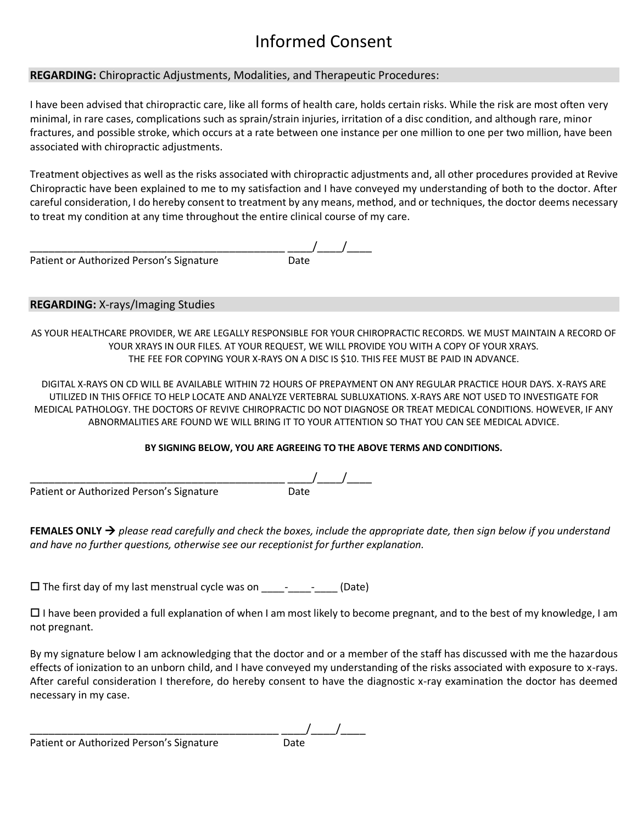# Informed Consent

## **REGARDING:** Chiropractic Adjustments, Modalities, and Therapeutic Procedures:

I have been advised that chiropractic care, like all forms of health care, holds certain risks. While the risk are most often very minimal, in rare cases, complications such as sprain/strain injuries, irritation of a disc condition, and although rare, minor fractures, and possible stroke, which occurs at a rate between one instance per one million to one per two million, have been associated with chiropractic adjustments.

Treatment objectives as well as the risks associated with chiropractic adjustments and, all other procedures provided at Revive Chiropractic have been explained to me to my satisfaction and I have conveyed my understanding of both to the doctor. After careful consideration, I do hereby consent to treatment by any means, method, and or techniques, the doctor deems necessary to treat my condition at any time throughout the entire clinical course of my care.

 $-\frac{1}{\text{Date}}$ Patient or Authorized Person's Signature

### **REGARDING:** X-rays/Imaging Studies

AS YOUR HEALTHCARE PROVIDER, WE ARE LEGALLY RESPONSIBLE FOR YOUR CHIROPRACTIC RECORDS. WE MUST MAINTAIN A RECORD OF YOUR XRAYS IN OUR FILES. AT YOUR REQUEST, WE WILL PROVIDE YOU WITH A COPY OF YOUR XRAYS. THE FEE FOR COPYING YOUR X-RAYS ON A DISC IS \$10. THIS FEE MUST BE PAID IN ADVANCE.

DIGITAL X-RAYS ON CD WILL BE AVAILABLE WITHIN 72 HOURS OF PREPAYMENT ON ANY REGULAR PRACTICE HOUR DAYS. X-RAYS ARE UTILIZED IN THIS OFFICE TO HELP LOCATE AND ANALYZE VERTEBRAL SUBLUXATIONS. X-RAYS ARE NOT USED TO INVESTIGATE FOR MEDICAL PATHOLOGY. THE DOCTORS OF REVIVE CHIROPRACTIC DO NOT DIAGNOSE OR TREAT MEDICAL CONDITIONS. HOWEVER, IF ANY ABNORMALITIES ARE FOUND WE WILL BRING IT TO YOUR ATTENTION SO THAT YOU CAN SEE MEDICAL ADVICE.

### **BY SIGNING BELOW, YOU ARE AGREEING TO THE ABOVE TERMS AND CONDITIONS.**

 $\frac{1}{\text{Date}}$ Patient or Authorized Person's Signature

**FEMALES ONLY**  $\rightarrow$  please read carefully and check the boxes, include the appropriate date, then sign below if you understand *and have no further questions, otherwise see our receptionist for further explanation.* 

 $\Box$  The first day of my last menstrual cycle was on \_\_\_\_\_- \_\_\_\_\_\_\_ (Date)

 $\Box$  I have been provided a full explanation of when I am most likely to become pregnant, and to the best of my knowledge, I am not pregnant.

By my signature below I am acknowledging that the doctor and or a member of the staff has discussed with me the hazardous effects of ionization to an unborn child, and I have conveyed my understanding of the risks associated with exposure to x-rays. After careful consideration I therefore, do hereby consent to have the diagnostic x-ray examination the doctor has deemed necessary in my case.